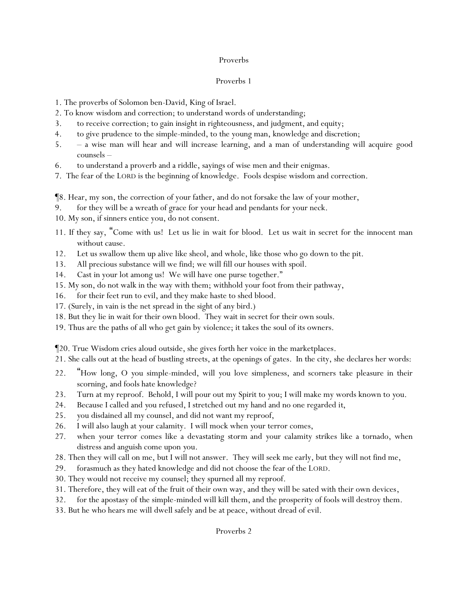#### Proverbs

#### Proverbs 1

- 1. The proverbs of Solomon ben-David, King of Israel.
- 2. To know wisdom and correction; to understand words of understanding;
- 3. to receive correction; to gain insight in righteousness, and judgment, and equity;
- 4. to give prudence to the simple-minded, to the young man, knowledge and discretion;
- 5. a wise man will hear and will increase learning, and a man of understanding will acquire good counsels –
- 6. to understand a proverb and a riddle, sayings of wise men and their enigmas.
- 7. The fear of the LORD is the beginning of knowledge. Fools despise wisdom and correction.

¶8. Hear, my son, the correction of your father, and do not forsake the law of your mother,

- 9. for they will be a wreath of grace for your head and pendants for your neck.
- 10. My son, if sinners entice you, do not consent.
- 11. If they say, "Come with us! Let us lie in wait for blood. Let us wait in secret for the innocent man without cause.
- 12. Let us swallow them up alive like sheol, and whole, like those who go down to the pit.
- 13. All precious substance will we find; we will fill our houses with spoil.
- 14. Cast in your lot among us! We will have one purse together."
- 15. My son, do not walk in the way with them; withhold your foot from their pathway,
- 16. for their feet run to evil, and they make haste to shed blood.
- 17. (Surely, in vain is the net spread in the sight of any bird.)
- 18. But they lie in wait for their own blood. They wait in secret for their own souls.
- 19. Thus are the paths of all who get gain by violence; it takes the soul of its owners.

¶20. True Wisdom cries aloud outside, she gives forth her voice in the marketplaces.

- 21. She calls out at the head of bustling streets, at the openings of gates. In the city, she declares her words:
- 22. "How long, O *y*ou simple-minded, will *y*ou love simpleness, and scorners take pleasure in their scorning, and fools hate knowledge?
- 23. Turn at my reproof. Behold, I will pour out my Spirit to *y*ou; I will make my words known to *y*ou.
- 24. Because I called and *y*ou refused, I stretched out my hand and no one regarded *it*,
- 25. *y*ou disdained all my counsel, and did not want my reproof,
- 26. I will also laugh at *y*our calamity. I will mock when *y*our terror comes,
- 27. when *y*our terror comes like a devastating *storm* and *y*our calamity strikes like a tornado, when distress and anguish come upon *y*ou.
- 28. Then they will call on me, but I will not answer. They will seek me early, but they will not find me,
- 29. forasmuch as they hated knowledge and did not choose the fear of the LORD.
- 30. They would not receive my counsel; they spurned all my reproof.
- 31. Therefore, they will eat of the fruit of their own way, and they will be sated with their own devices,
- 32. for the apostasy of the simple-minded will kill them, and the prosperity of fools will destroy them.
- 33. But he who hears me will dwell safely and be at peace, without dread of evil.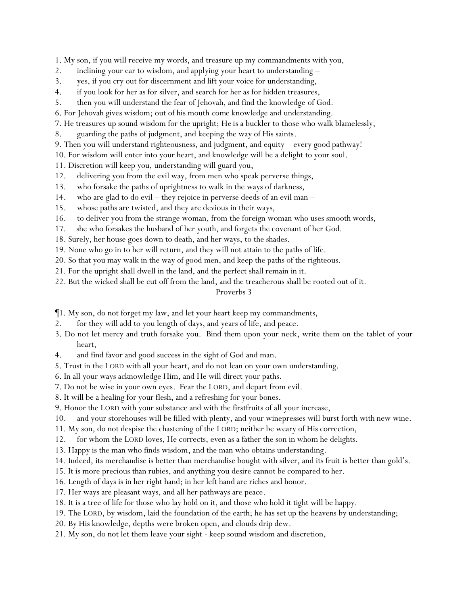1. My son, if you will receive my words, and treasure up my commandments with you,

- 2. inclining your ear to wisdom, *and* applying your heart to understanding –
- 3. yes, if you cry out for discernment *and* lift your voice for understanding,
- 4. if you look for her as for silver, and search for her as for hidden treasures,
- 5. then you will understand the fear of Jehovah, and find the knowledge of God.
- 6. For Jehovah gives wisdom; out of his mouth *come* knowledge and understanding.
- 7. He treasures up sound wisdom for the upright; *He is* a buckler to those who walk blamelessly,
- 8. guarding the paths of judgment, and keeping the way of His saints.
- 9. Then you will understand righteousness, and judgment, and equity every good pathway!
- 10. For wisdom will enter into your heart, and knowledge will be a delight to your soul.
- 11. Discretion will keep you, understanding will guard you,
- 12. delivering you from the evil way, from men who speak perverse things,
- 13. who forsake the paths of uprightness to walk in the ways of darkness,
- 14. who are glad to do evil they rejoice in perverse deeds of an evil man –
- 15. whose paths are twisted, and they are devious in their ways,
- 16. to deliver you from the strange woman, from the foreign woman who uses smooth words,
- 17. she who forsakes the husband of her youth, and forgets the covenant of her God.
- 18. Surely, her house goes down to death, and her ways, to the shades.
- 19. None who go in to her will return, and they will not attain to the paths of life.
- 20. So that you may walk in the way of good men, and keep the paths of the righteous.
- 21. For the upright shall dwell in the land, and the perfect shall remain in it.
- 22. But the wicked shall be cut off from the land, and the treacherous shall be rooted out of it.

- ¶1. My son, do not forget my law, and let your heart keep my commandments,
- 2. for they will add to you length of days, and years of life, and peace.
- 3. Do not let mercy and truth forsake you. Bind them upon your neck, write them on the tablet of your heart,
- 4. and find favor and good success in the sight of God and man.
- 5. Trust in the LORD with all your heart, and do not lean on your own understanding.
- 6. In all your ways acknowledge Him, and He will direct your paths.
- 7. Do not be wise in your own eyes. Fear the LORD, and depart from evil.
- 8. It will be a healing for your flesh, and a refreshing for your bones.
- 9. Honor the LORD with your substance and with the firstfruits of all your increase,
- 10. and your storehouses will be filled with plenty, and your winepresses will burst forth with new wine.
- 11. My son, do not despise the chastening of the LORD; neither be weary of His correction,
- 12. for whom the LORD loves, He corrects, even as a father the son in whom he delights.
- 13. Happy is the man who finds wisdom, and the man who obtains understanding.
- 14. Indeed, its merchandise is better than merchandise bought with silver, and its fruit is better than gold's.
- 15. It is more precious than rubies, and anything you desire cannot be compared to her.
- 16. Length of days is in her right hand; in her left hand are riches and honor.
- 17. Her ways are pleasant ways, and all her pathways are peace.
- 18. It is a tree of life for those who lay hold on it, and those who hold it tight will be happy.
- 19. The LORD, by wisdom, laid the foundation of the earth; he has set up the heavens by understanding;
- 20. By His knowledge, depths were broken open, and clouds drip dew.
- 21. My son, do not let them leave your sight keep sound wisdom and discretion,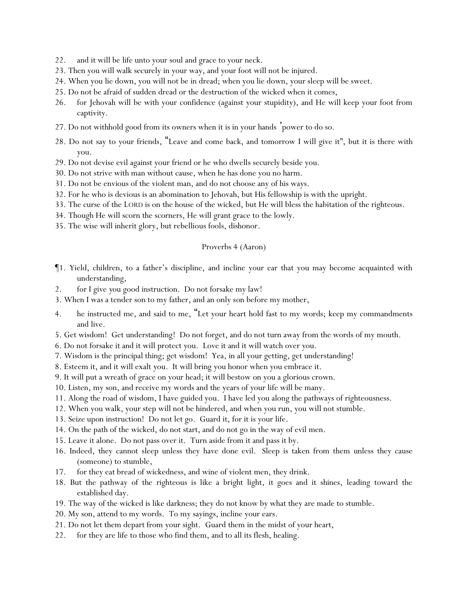- 22. and it will be life unto your soul and grace to your neck.
- 23. Then you will walk securely in your way, and your foot will not be injured.
- 24. When you lie down, you will not be in dread; when you lie down, your sleep will be sweet.
- 25. Do not be afraid of sudden dread or the destruction of the wicked when it comes,
- 26. for Jehovah will be with your confidence (against your stupidity), and He will keep your foot from captivity.
- 27. Do not withhold good from its owners when it is in your hands 'power to do so.
- 28. Do not say to your friends, "Leave and come back, and tomorrow I will give it", but it is there with you.
- 29. Do not devise evil against your friend or he who dwells securely beside you.
- 30. Do not strive with man without cause, when he has done you no harm.
- 31. Do not be envious of the violent man, and do not choose any of his ways.
- 32. For he who is devious is an abomination to Jehovah, but His fellowship is with the upright.
- 33. The curse of the LORD is on the house of the wicked, but He will bless the habitation of the righteous.
- 34. Though He will scorn the scorners, He will grant grace to the lowly.
- 35. The wise will inherit glory, but rebellious fools, dishonor.

#### Proverbs 4 (Aaron)

- ¶1. Yield, children, to a father's discipline, and incline your ear that you may become acquainted with understanding,
- 2. for I give *y*ou good instruction. Do not forsake my law!
- 3. When I was a tender son to my father, and an only son before my mother,
- 4. he instructed me, and said to me, "Let your heart hold fast to my words; keep my commandments and live.
- 5. Get wisdom! Get understanding! Do not forget, and do not turn away from the words of my mouth.
- 6. Do not forsake it and it will protect you. Love it and it will watch over you.
- 7. Wisdom is the principal thing; get wisdom! Yea, in all your getting, get understanding!
- 8. Esteem it, and it will exalt you. It will bring you honor when you embrace it.

9. It will put a wreath of grace on your head; it will bestow on you a glorious crown.

- 10. Listen, my son, and receive my words and the years of your life will be many.
- 11. Along the road of wisdom, I have guided you. I have led you along the pathways of righteousness.
- 12. When you walk, your step will not be hindered, and when you run, you will not stumble.
- 13. Seize upon instruction! Do not let go. Guard it, for it is your life.
- 14. On the path of the wicked, do not start, and do not go in the way of evil men.
- 15. Leave it alone. Do not pass over it. Turn aside from it and pass it by.
- 16. Indeed, they cannot sleep unless they have done evil. Sleep is taken from them unless they cause (someone) to stumble,
- 17. for they eat bread of wickedness, and wine of violent men, they drink.
- 18. But the pathway of the righteous is like a bright light, it goes and it shines, leading toward the established day.
- 19. The way of the wicked is like darkness; they do not know by what they are made to stumble.
- 20. My son, attend to my words. To my sayings, incline your ears.
- 21. Do not let them depart from your sight. Guard them in the midst of your heart,
- 22. for they are life to those who find them, and to all its flesh, healing.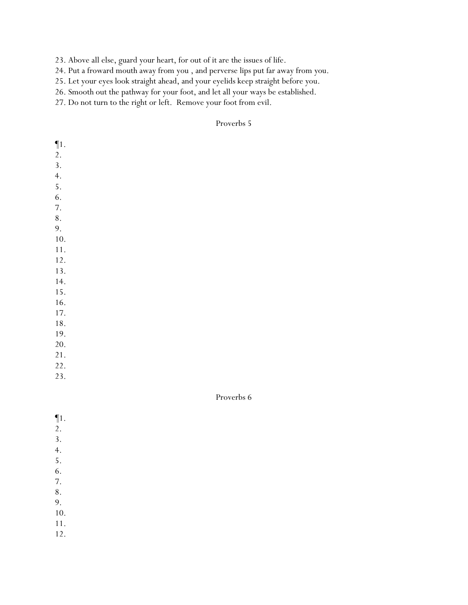23. Above all else, guard your heart, for out of it are the issues of life.

24. Put a froward mouth away from you , and perverse lips put far away from you.

25. Let your eyes look straight ahead, and your eyelids keep straight before you.

26. Smooth out the pathway for your foot, and let all your ways be established.

27. Do not turn to the right or left. Remove your foot from evil.

#### Proverbs 5

| $\P1.$           |  |  |  |
|------------------|--|--|--|
| 2.               |  |  |  |
| 3.               |  |  |  |
| $\overline{4}$ . |  |  |  |
| 5.               |  |  |  |
| 6.               |  |  |  |
| 7.               |  |  |  |
| $\bf 8$ .        |  |  |  |
| 9.               |  |  |  |
| $10. \,$         |  |  |  |
| 11.              |  |  |  |
| 12.              |  |  |  |
| 13.              |  |  |  |
| 14.              |  |  |  |
| 15.              |  |  |  |
| 16.              |  |  |  |
| 17.              |  |  |  |
| $18. \,$         |  |  |  |
| 19.              |  |  |  |
| 20.              |  |  |  |
| 21.              |  |  |  |
| 22.              |  |  |  |
| 23.              |  |  |  |

- ¶1.
- 2.
- 3.
- 4.
- 5.
- 6. 7.
- 8.
- 9.
- 10.
- 11.
- 12.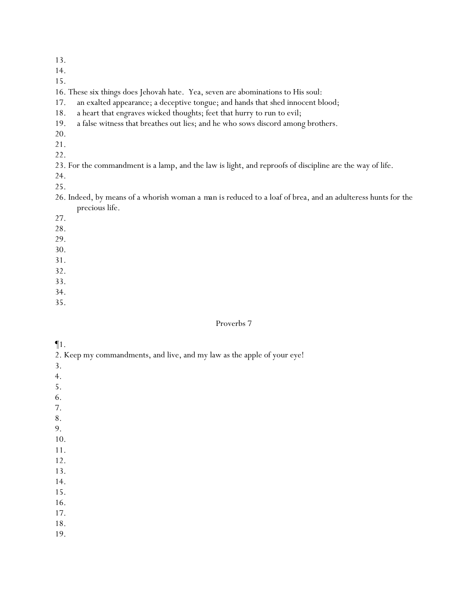| I | ۰. |  |
|---|----|--|
|   |    |  |

15.

16. These six things does Jehovah hate. Yea, seven are abominations to His soul:

17. an exalted appearance; a deceptive tongue; and hands that shed innocent blood;

- 18. a heart that engraves wicked thoughts; feet that hurry to run to evil;
- 19. a false witness that breathes out lies; and he who sows discord among brothers.
- 20.
- 21.

22.

23. For the commandment is a lamp, and the law is light, and reproofs of discipline are the way of life.

24.

25.

26. Indeed, by means of a whorish woman *a man is reduced* to a loaf of brea, and an adulteress hunts for the precious life.

27.

28.

29.

- 30.
- 31.
- 32.

33.

34.

35.

### Proverbs 7

### ¶1.

2. Keep my commandments, and live, and my law as the apple of your eye!

3.

- 4.
- 5.
- 6.
- 7.

8.

9.

- 10.
- 11.
- 12.

13. 14.

- 16.
- 17.
- 18.
- 19.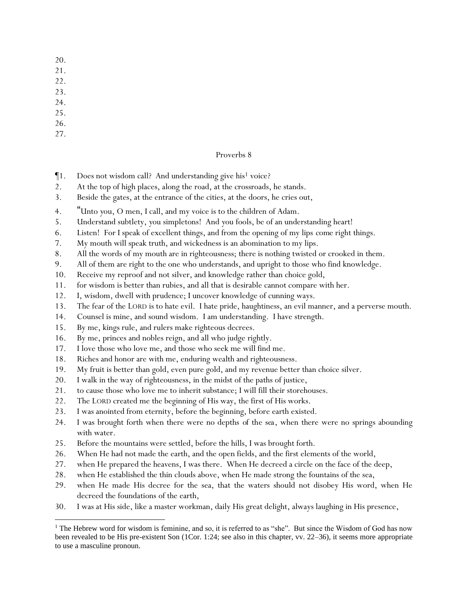- 20.
- 21.
- 22.
- 23.
- 24.
- 25.
- 26.
- 27.

- $\P$ 1. Does not wisdom call? And understanding give his<sup>1</sup> voice?
- 2. At the top of high places, along the road, at the crossroads, he stands.
- 3. Beside the gates, at the entrance of the cities, at the doors, he cries out,
- 4. "Unto *y*ou, O men, I call, and my voice is to the children of Adam.
- 5. Understand subtlety, *y*ou simpletons! And *y*ou fools, be of an understanding heart!
- 6. Listen! For I speak of excellent things, and from the opening of my lips *come* right things.
- 7. My mouth will speak truth, and wickedness is an abomination to my lips.
- 8. All the words of my mouth are in righteousness; there is nothing twisted or crooked in them.
- 9. All of them are right to the one who understands, and upright to those who find knowledge.
- 10. Receive my reproof and not silver, and knowledge rather than choice gold,
- 11. for wisdom is better than rubies, and all that is desirable cannot compare with her.
- 12. I, wisdom, dwell with prudence; I uncover knowledge of cunning ways.
- 13. The fear of the LORD is to hate evil. I hate pride, haughtiness, an evil manner, and a perverse mouth.
- 14. Counsel is mine, and sound wisdom. I am understanding. I have strength.
- 15. By me, kings rule, and rulers make righteous decrees.
- 16. By me, princes and nobles reign, and all who judge rightly.
- 17. I love those who love me, and those who seek me will find me.
- 18. Riches and honor are with me, enduring wealth and righteousness.
- 19. My fruit is better than gold, even pure gold, and my revenue better than choice silver.
- 20. I walk in the way of righteousness, in the midst of the paths of justice,
- 21. to cause those who love me to inherit substance; I will fill their storehouses.
- 22. The LORD created me the beginning of His way, the first of His works.
- 23. I was anointed from eternity, before the beginning, before earth existed.
- 24. I was brought forth when there were no depths *of the sea*, when there were no springs abounding with water.
- 25. Before the mountains were settled, before the hills, I was brought forth.
- 26. When He had not made the earth, and the open fields, and the first elements of the world,
- 27. when He prepared the heavens, I was there. When He decreed a circle on the face of the deep,
- 28. when He established the thin clouds above, when He made strong the fountains of the sea,
- 29. when He made His decree for the sea, that the waters should not disobey His word, when He decreed the foundations of the earth,
- 30. I was at His side, like a master workman, daily His great delight, always laughing in His presence,

<sup>&</sup>lt;sup>1</sup> The Hebrew word for wisdom is feminine, and so, it is referred to as "she". But since the Wisdom of God has now been revealed to be His pre-existent Son (1Cor. 1:24; see also in this chapter, vv. 22–36), it seems more appropriate to use a masculine pronoun.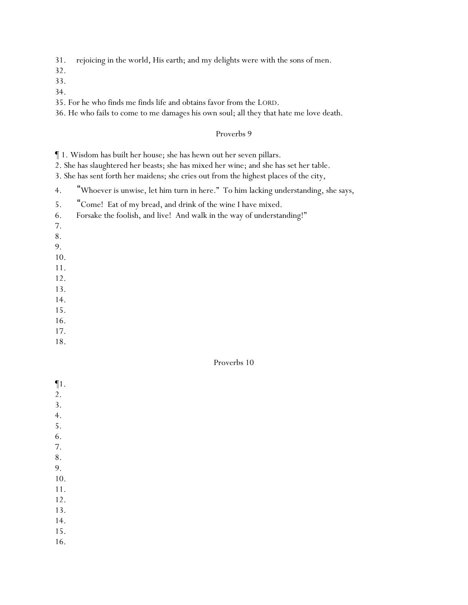31. rejoicing in the world, His earth; and my delights were with the sons of men.

32.

- 33.
- 34.

35. For he who finds me finds life and obtains favor from the LORD.

36. He who fails to come to me damages his own soul; all they that hate me love death.

#### Proverbs 9

¶ 1. Wisdom has built her house; she has hewn out her seven pillars.

2. She has slaughtered her beasts; she has mixed her wine; and she has set her table.

3. She has sent forth her maidens; she cries out from the highest places of the city,

4. "Whoever is unwise, let him turn in here." To him lacking understanding, she says,

- 5. "Come! Eat of my bread, and drink of the wine I have mixed.
- 6. Forsake the foolish, and live! And walk in the way of understanding!"
- 7.
- 8.
- 9.
- 10.
- 11.
- 12.
- 13.
- 14.
- 15.
- 16.
- 17.
- 18.

#### Proverbs 10

- ¶1.
- 2.
- 3.
- 4.
- 5.
- 6.
- 7. 8.
- 9.
- 10.

- 12.
- 13.
- 14.
- 15. 16.
-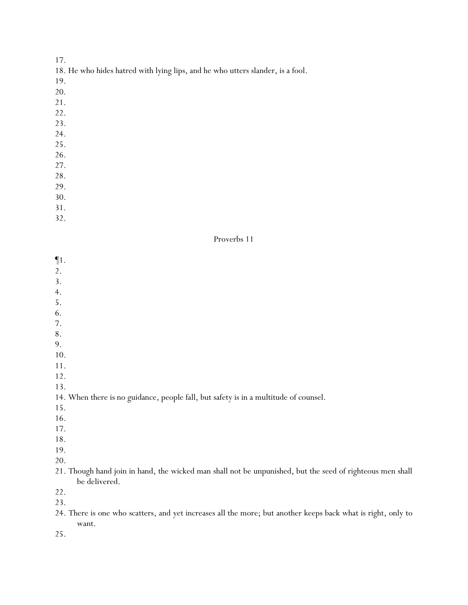- 18. He who hides hatred with lying lips, and he who utters slander, is a fool.
- 19.
- 20.
- 21.
- 22.
- 23.
- 24.
- 25.
- 26.
- 27.
- 28.
- 29.
- 30.
- 31.

32.

#### Proverbs 11

¶1.

- 2.
- 3.
- 4.
- 5.
- 6.
- 7. 8.
- 9.
- 10.
- 11.
- 12.

13.

#### 14. When there is no guidance, people fall, but safety is in a multitude of counsel.

- 15.
- 16.
- 17.
- 18.
- 19.
- 20.

### 21. Though hand join in hand, the wicked man shall not be unpunished, but the seed of righteous men shall be delivered.

22.

23.

24. There is one who scatters, and yet increases all the more; but another keeps back what is right, only to want.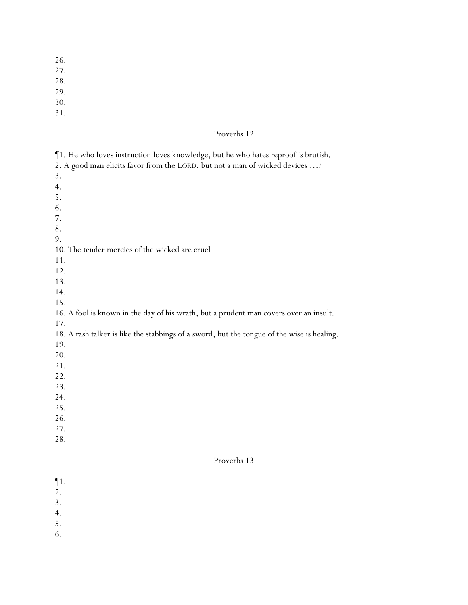- 26.
- 27.
- 28.
- 29.
- 30.
- 31.

### Proverbs 12

- 2. A good man elicits favor from the LORD, but *not* a man of wicked devices …?
- 3.
- 4.
- 5.
- 6.
- 7.
- 8.
- 9.

#### 10. The tender mercies of the wicked are cruel

- 11.
- 12.
- 13.
- 14.
- 15.

# 16. A fool is known in the day of his wrath, but a prudent man covers over an insult.

17.

# 18. A rash talker is like the stabbings of a sword, but the tongue of the wise is healing.

- 19.
- 20.
- 21.
- 22.
- 23.
- 24.
- 25.
- 26.
- 27.
- 28.

- ¶1.
- 2.
- 3.
- 4.
- 5.
- 6.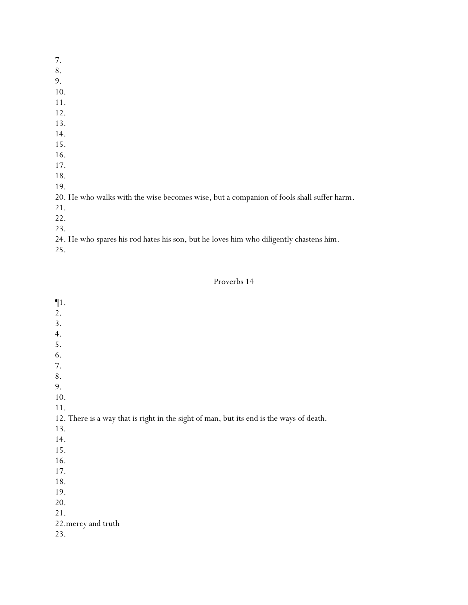7. 8. 9. 10. 11. 12. 13. 14. 15. 16. 17. 18. 19. 20. He who walks with the wise becomes wise, but a companion of fools shall suffer harm. 21. 22. 23.

24. He who spares his rod hates his son, but he loves him who diligently chastens him.

25.

| Proverbs 14 |  |
|-------------|--|
|-------------|--|

of death.

| $\P1.$                                                                        |
|-------------------------------------------------------------------------------|
| 2.                                                                            |
| 3.                                                                            |
| 4.                                                                            |
| 5.                                                                            |
| 6.                                                                            |
| 7.                                                                            |
| $8\,.$                                                                        |
| 9.                                                                            |
| $10.$                                                                         |
| 11.                                                                           |
| 12. There is a way that is right in the sight of man, but its end is the ways |
| 13.                                                                           |
| 14.                                                                           |
| 15.                                                                           |
| 16.                                                                           |
| 17.                                                                           |
| 18.                                                                           |
| 19.                                                                           |
| 20.                                                                           |
| 21.                                                                           |
| 22. mercy and truth                                                           |
| 23.                                                                           |
|                                                                               |
|                                                                               |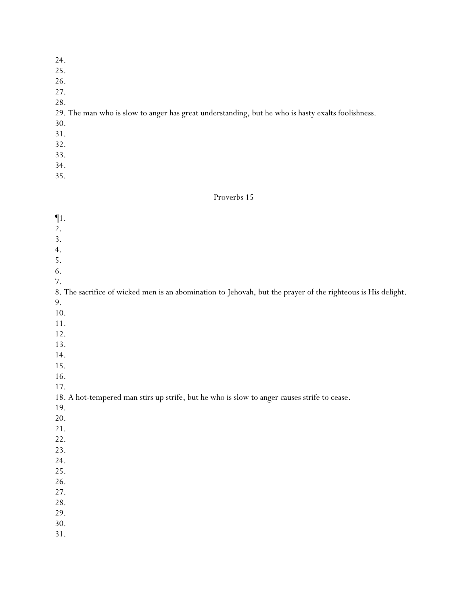| 24.                                                                                               |
|---------------------------------------------------------------------------------------------------|
| 25.                                                                                               |
| 26.                                                                                               |
| 27.                                                                                               |
| 28.                                                                                               |
| 29. The man who is slow to anger has great understanding, but he who is hasty exalts foolishness. |
| 30.                                                                                               |
| 31.                                                                                               |
| 32.                                                                                               |
| 33.                                                                                               |
| 34.                                                                                               |

| $\P1.$                                                                                                       |
|--------------------------------------------------------------------------------------------------------------|
| 2.                                                                                                           |
| 3.                                                                                                           |
| 4.                                                                                                           |
| 5.                                                                                                           |
| 6.                                                                                                           |
| 7.                                                                                                           |
| 8. The sacrifice of wicked men is an abomination to Jehovah, but the prayer of the righteous is His delight. |
| 9.                                                                                                           |
| 10.                                                                                                          |
| $11.$                                                                                                        |
| 12.                                                                                                          |
| 13.                                                                                                          |
| 14.                                                                                                          |
| 15.                                                                                                          |
| 16.                                                                                                          |
| 17.                                                                                                          |
| 18. A hot-tempered man stirs up strife, but he who is slow to anger causes strife to cease.                  |
| 19.                                                                                                          |
| 20.                                                                                                          |
| 21.                                                                                                          |
| 22.                                                                                                          |
| 23.                                                                                                          |
| 24.                                                                                                          |
| 25.                                                                                                          |
| 26.                                                                                                          |
| 27.                                                                                                          |
| 28.                                                                                                          |
| 29.                                                                                                          |
| 30.                                                                                                          |
| 31.                                                                                                          |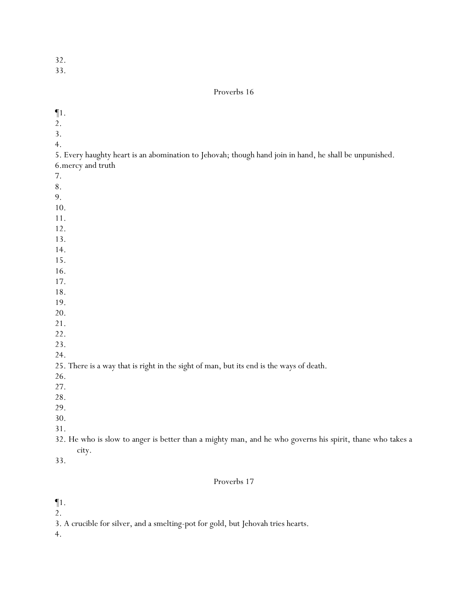33.

| $\P1.$                                                                                                    |
|-----------------------------------------------------------------------------------------------------------|
| 2.                                                                                                        |
| 3.                                                                                                        |
| 4.                                                                                                        |
| 5. Every haughty heart is an abomination to Jehovah; though hand join in hand, he shall be unpunished.    |
| 6. mercy and truth                                                                                        |
| 7.                                                                                                        |
| 8.                                                                                                        |
| 9.                                                                                                        |
| 10.                                                                                                       |
|                                                                                                           |
| 11.                                                                                                       |
| 12.                                                                                                       |
| 13.                                                                                                       |
| 14.                                                                                                       |
| 15.                                                                                                       |
| 16.                                                                                                       |
| 17.                                                                                                       |
| 18.                                                                                                       |
| 19.                                                                                                       |
| 20.                                                                                                       |
| 21.                                                                                                       |
| 22.                                                                                                       |
| 23.                                                                                                       |
| 24.                                                                                                       |
| 25. There is a way that is right in the sight of man, but its end is the ways of death.                   |
| 26.                                                                                                       |
| 27.                                                                                                       |
| 28.                                                                                                       |
| 29.                                                                                                       |
| 30.                                                                                                       |
| 31.                                                                                                       |
| 32. He who is slow to anger is better than a mighty man, and he who governs his spirit, thane who takes a |
| city.                                                                                                     |
| 33.                                                                                                       |
|                                                                                                           |
| Proverbs 17                                                                                               |
| $\P1.$                                                                                                    |
| 2.                                                                                                        |
| 3. A crucible for silver, and a smelting-pot for gold, but Jehovah tries hearts.                          |
| 4.                                                                                                        |
|                                                                                                           |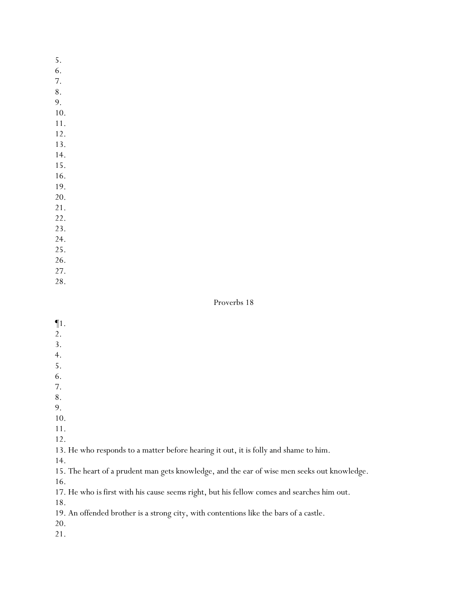- 6.
- 7.
- 8.
- 9.
- 10.
- 11. 12.
- 13.
- 14.
- 15.
- 16.
- 19.
- 20.
- 21.
- 22.
- 23.
- 24.
- 25. 26.
- 27.
- 28.

# Proverbs 18

- ¶1.
- 2.
- 3.
- 4.
- 5.
- 6.
- 7. 8.
- 9.
- 10.
- 11.
- 12.

13. He who responds to a matter before hearing it out, it is folly and shame to him.

14.

15. The heart of a prudent man gets knowledge, and the ear of wise men seeks out knowledge.

16.

17. He who *is* first with his cause *seems* right, but his fellow comes and searches him out.

18.

19. An offended brother is a strong city, with contentions like the bars of a castle.

20.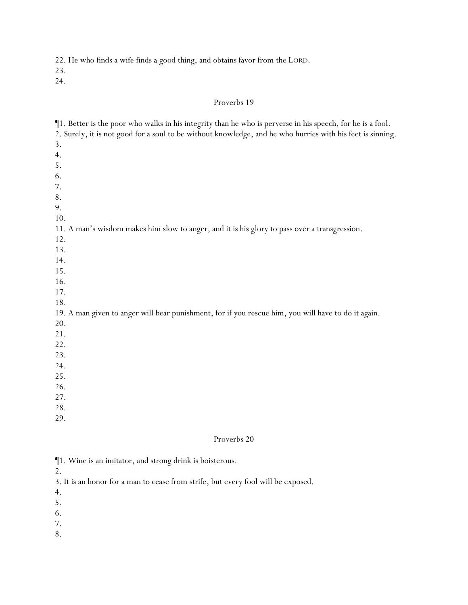22. He who finds a wife finds a good thing, and obtains favor from the LORD.

23.

24.

### Proverbs 19

¶1. Better is the poor who walks in his integrity than he who is perverse in his speech, for he is a fool. 2. Surely, it is not good for a soul to be without knowledge, and he who hurries with his feet is sinning. 3. 4. 5. 6. 7. 8. 9. 10. 11. A man's wisdom makes him slow to anger, and it is his glory to pass over a transgression. 12. 13. 14. 15. 16. 17. 18. 19. A man given to anger will bear punishment, for if you rescue him, you will have to do it again. 20. 21. 22. 23. 24. 25. 26. 27. 28. 29.

### Proverbs 20

|  |  |  |  |  |  |  |  | 1. Wine is an imitator, and strong drink is boisterous. |
|--|--|--|--|--|--|--|--|---------------------------------------------------------|
|--|--|--|--|--|--|--|--|---------------------------------------------------------|

2.

3. It is an honor for a man to cease from strife, but every fool will be exposed.

- 4.
- 5.
- 6.
- 7.
- 8.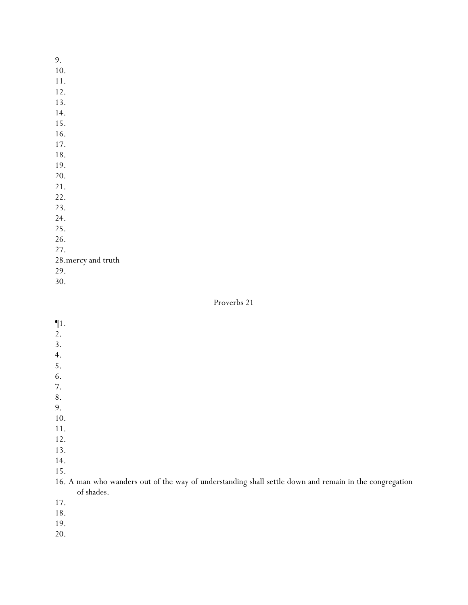- 10.
- 11.
- 12.
- 13.
- 14.
- 15.
- 16.
- 17. 18.
- 19.
- 20.
- 21.
- 22.
- 23.
- 24.
- 25.
- 26.
- 27.
- 28.mercy and truth
- 29.
- 30.

- ¶1.
- 2.
- 3.
- 4.
- 5.
- 6.
- 7.
- 8. 9.
- 10.
- 11.
- 12.
- 13.
- 14.
- 15.
- 16. A man who wanders out of the way of understanding shall settle down and remain in the congregation of shades.
- 17.
- 18.
- 19.
- 20.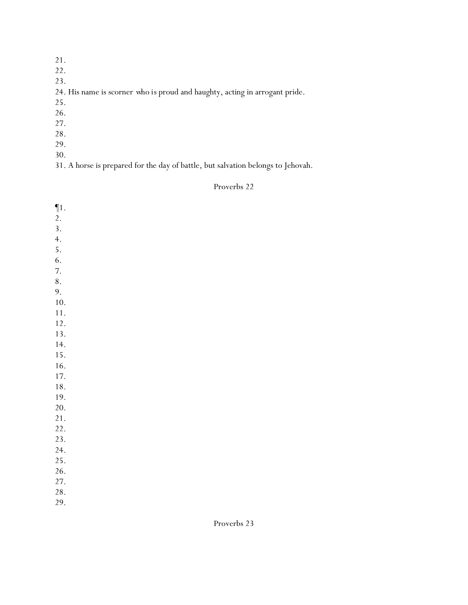- 21.
- 22.
- 23.

# 24. His name is scorner *who is* proud and haughty, acting in arrogant pride.

- 25.
- 26.
- 27.
- 28.
- 29.
- 30.

31. A horse is prepared for the day of battle, but salvation belongs to Jehovah.

| $\P1$ . |  |  |  |
|---------|--|--|--|
| 2.      |  |  |  |
| 3.      |  |  |  |
| 4.      |  |  |  |
| 5.      |  |  |  |
| 6.      |  |  |  |
| 7.      |  |  |  |
| 8.      |  |  |  |
| 9.      |  |  |  |
| 10.     |  |  |  |
| 11.     |  |  |  |
| 12.     |  |  |  |
| 13.     |  |  |  |
| 14.     |  |  |  |
| 15.     |  |  |  |
| 16.     |  |  |  |
| 17.     |  |  |  |
| 18.     |  |  |  |
| 19.     |  |  |  |
| 20.     |  |  |  |
| 21.     |  |  |  |
| 22.     |  |  |  |
| 23.     |  |  |  |
| 24.     |  |  |  |
| 25.     |  |  |  |
| 26.     |  |  |  |
| 27.     |  |  |  |
| 28.     |  |  |  |
| 29.     |  |  |  |
|         |  |  |  |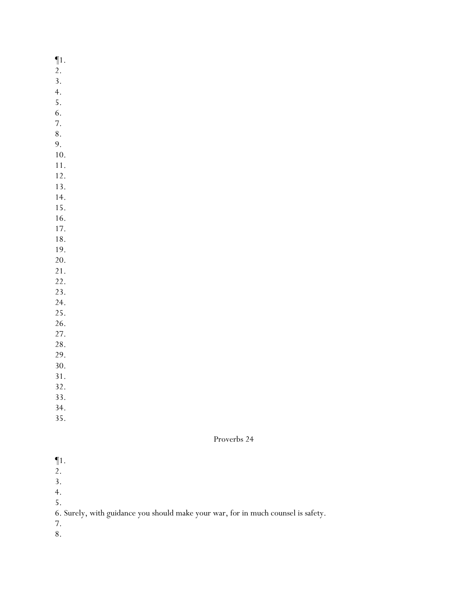¶1.

- 2.
- 3.
- 4.
- 5.
- 6. 7.
- 8.
- 9.
- 10.
- 11.
- 12.
- 13.
- 14.
- 15.
- 16. 17.
- 18.
- 19.
- 20.
- 21.
- 22.
- 23.
- 24.
- 25. 26.
- 27.
- 28.
- 29.
- 30.
- 31.
- 32.
- 33.
- 34.
- 35.

- $\P1$ .
- 2.
- 3.
- 4.
- 5.
- 6. Surely, with guidance you should make your war, for in much counsel is safety.
- 7.
- 8.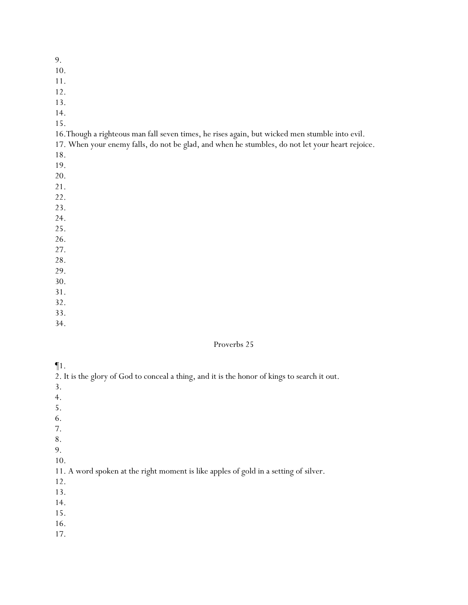10.

- 11.
- 12.
- 13.
- 14.
- 15.

16.Though a righteous man fall seven times, he rises *again*, but wicked men stumble into evil.

17. When your enemy falls, do not be glad, and when he stumbles, do not let your heart rejoice.

- 18.
- 19.
- 20.
- 21.
- 22.
- 23.
- 24. 25.
- 26.
- 27.
- 28.
- 29.
- 30.
- 31.
- 32.
- 33.
- 34.

### Proverbs 25

- ¶1.
- 2. It is the glory of God to conceal a thing, and it is the honor of kings to search it out.
- 3.
- 4.
- 5.
- 6.
- 7.
- 8.
- 9.
- 10.

# 11. A word spoken at the right moment is like apples of gold in a setting of silver.

- 12.
- 13.
- 14.
- 15.
- 16.
- 17.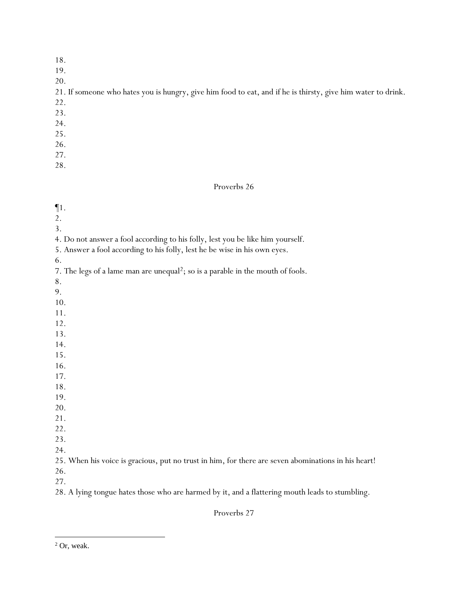- 18.
- 19.
- 20.

21. If someone who hates you is hungry, give him food to eat, and if he is thirsty, give him water to drink.

- 22.
- 23.
- 24.
- 25.
- 26.
- 27.
- 28.

#### Proverbs 26

¶1. 2. 3. 4. Do not answer a fool according to his folly, lest you be like him yourself. 5. Answer a fool according to his folly, lest he be wise in his own eyes. 6. 7. The legs of a lame man are unequal<sup>2</sup>; so is a parable in the mouth of fools. 8. 9. 10. 11. 12. 13. 14. 15. 16. 17. 18. 19. 20. 21. 22. 23. 24. 25. When his voice is gracious, put no trust in him, for there are seven abominations in his heart! 26. 27.

28. A lying tongue hates those who are harmed by it, and a flattering mouth leads to stumbling.

Proverbs 27

<sup>2</sup> Or, weak.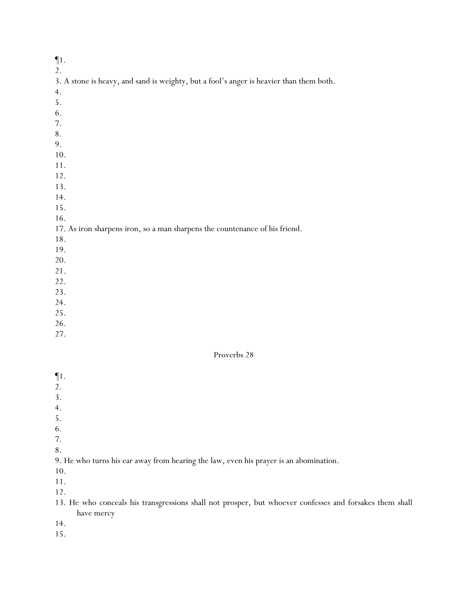# ¶1.

2.

| 3. A stone is heavy, and sand is weighty, but a fool's anger is heavier than them both. |  |  |
|-----------------------------------------------------------------------------------------|--|--|
|                                                                                         |  |  |

- 5.
- 6.
- 7.
- 8.
- 9.
- 10.
- 11.
- 12.
- 13.
- 14.
- 15.
- 16.

# 17. As iron sharpens iron, so a man sharpens the countenance of his friend.

- 18.
- 19.
- 20.
- 21.
- 22.
- 23.
- 24.
- 25.
- 26.
- 27.

### Proverbs 28

- ¶1.
- 2.
- 3.
- 4.
- 5.
- 6.
- 7. 8.

# 9. He who turns his ear away from hearing the law, even his prayer is an abomination.

- 10.
- 11.

12.

13. He who conceals his transgressions shall not prosper, but whoever confesses and forsakes them shall have mercy

14.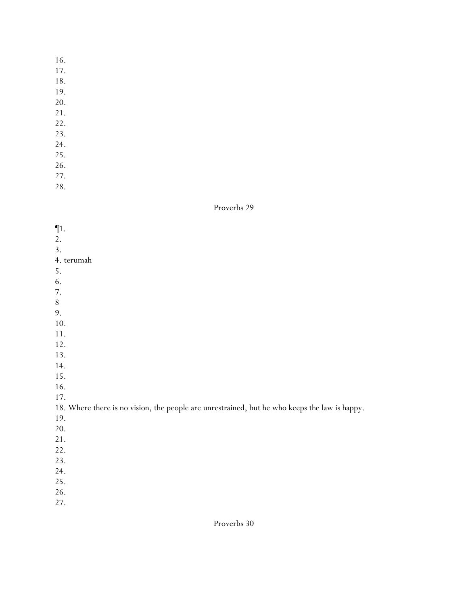- 16.
- 17.
- 18.
- 19.
- 20.
- 21.
- 22.
- 23.
- 24.
- 25. 26.
- 27.
- 28.
- 

### Proverbs 29

| $\P1$ .                                                                                       |
|-----------------------------------------------------------------------------------------------|
| 2.<br>3.                                                                                      |
|                                                                                               |
| 4. terumah                                                                                    |
| 5.                                                                                            |
| 6.                                                                                            |
| 7.                                                                                            |
| $8\,$                                                                                         |
| 9.                                                                                            |
| 10.                                                                                           |
| $11.$                                                                                         |
| 12.                                                                                           |
| 13.                                                                                           |
| 14.                                                                                           |
| 15.                                                                                           |
| 16.                                                                                           |
| 17.                                                                                           |
| 18. Where there is no vision, the people are unrestrained, but he who keeps the law is happy. |
| 19.                                                                                           |
| 20.                                                                                           |
| 21.                                                                                           |
| 22.                                                                                           |
| 23.                                                                                           |
| 24.                                                                                           |
| 25.                                                                                           |
| 26.                                                                                           |
|                                                                                               |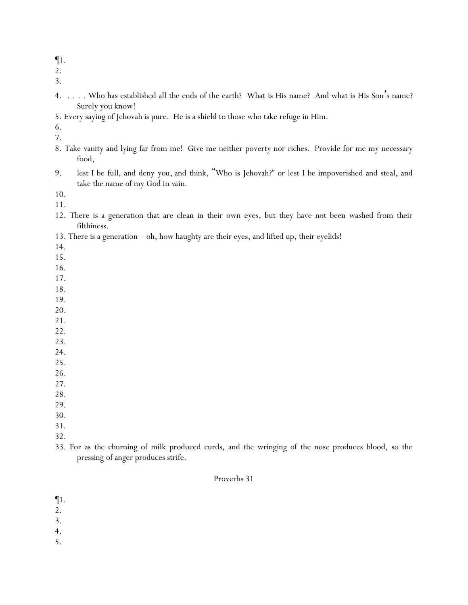¶1.

2.

3.

- 4. . . . . Who has established all the ends of the earth? What is His name? And what is His Son's name? Surely you know!
- 5. Every saying of Jehovah is pure. He is a shield to those who take refuge in Him.

6.

- 7.
- 8. Take vanity and lying far from me! Give me neither poverty nor riches. Provide for me my necessary food,
- 9. lest I be full, and deny *you*, and think, "Who is Jehovah?" or lest I be impoverished and steal, and take the name of my God *in vain*.

10.

- 11.
- 12. There is a generation that are clean in their own eyes, but they have not been washed from their filthiness.
- 13. There is a generation oh, how haughty are their eyes, and lifted up, their eyelids!

14.

- 15.
- 16.
- 17.
- 18.
- 19. 20.
- 21.
- 22.
- 23.
- 24.
- 25.
- 26.
- 27.
- 28.
- 29.
- 30.
- 31.
- 32.
- 33. For as the churning of milk produced curds, and the wringing of the nose produces blood, so the pressing of anger produces strife.

### Proverbs 31

¶1.

- 2.
- 3.
- 4.
- 5.